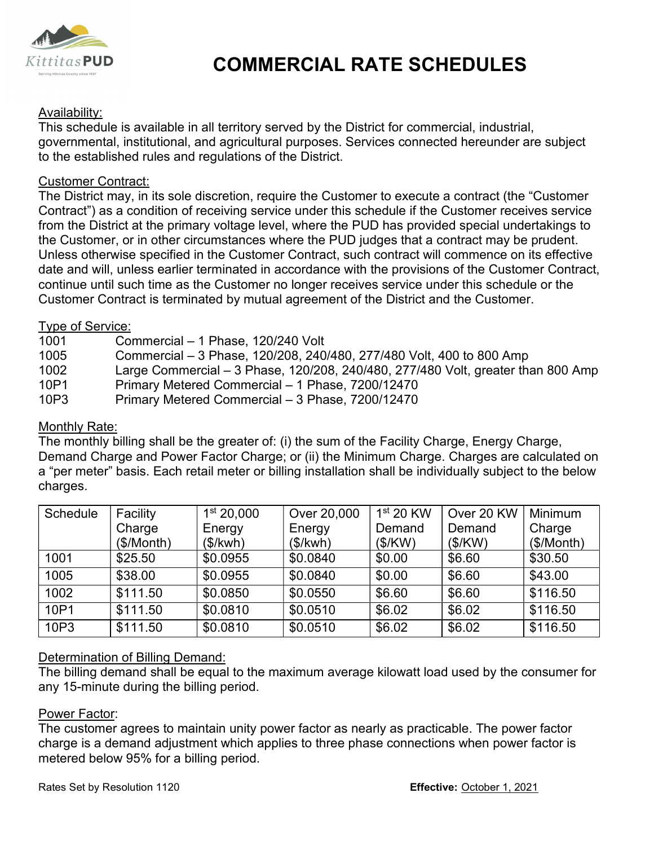

# COMMERCIAL RATE SCHEDULES

## Availability:

This schedule is available in all territory served by the District for commercial, industrial, governmental, institutional, and agricultural purposes. Services connected hereunder are subject to the established rules and regulations of the District.

### Customer Contract:

**Example 11**<br>This schedule is available in all territory served by the District for commercial, industrial,<br>This schedule is available in all territory served by the District for commercial, industrial,<br>governmental, insti Contract") as a condition of receiving service under this schedule if the Customer receives service **Example 11**<br> **Example 10**<br> **EXECUTE COMMERCIAL RATE SCHEDULES**<br> **EXECUTE THIS schedule is available in all territory served by the District for commercial, industrial,<br>
for the established rules and regulations of the Dis** the Customer, or in other circumstances where the PUD judges that a contract may be prudent. Unless otherwise specified in the Customer Contract, such contract will commence on its effective date and will, unless earlier terminated in accordance with the provisions of the Customer Contract, continue until such time as the Customer no longer receives service under this schedule or the Customer Contract is terminated by mutual agreement of the District and the Customer. **EXERCISE THE SCHEDULES**<br> **EXERCTS THE SCHEDULES**<br> **EXERCTS AVAILS THE SCHEDULES**<br> **EXERCTS**<br> **COMMERCIAL RATE SCHEDULES**<br>
The shotelule is available in all territory served by the District for commercial, industrial,<br>
<u>C</u> Availability:<br>
This schedule is available in all territory served by the District for commercial, industrial,<br>
Toyevernmental, institutional, and agricultural purposes. Services connected hereunder are subject<br>
to the esta Availability:<br>This schedule is available in all territory served by the District for commercial, industrial,<br>governmental, institutional, and agricultural purposes. Services connected hereunder are subject<br>to the establish This schedule is available in all territory served by the District for commercial, industrial,<br>governmental, institutional, and agricultural purposes. Services connected hereunder are subject<br>to the established rules and r Customer Contract:<br>The District may, in its sole discretion, require the Customer to execute a contract (the "Customer<br>Contract") as a condition of receiving service under this schedule if the Customer receives service<br>fro

### Type of Service:

- 
- 
- 
- 10P1 Primary Metered Commercial 1 Phase, 7200/12470
- 

## Monthly Rate:

|                              |                                                                                                                         |                        | the Customer, or in other circumstances where the PUD judges that a contract may be prudent.<br>Unless otherwise specified in the Customer Contract, such contract will commence on its effective<br>date and will, unless earlier terminated in accordance with the provisions of the Customer Contract,<br>continue until such time as the Customer no longer receives service under this schedule or the<br>Customer Contract is terminated by mutual agreement of the District and the Customer. |             |            |            |  |
|------------------------------|-------------------------------------------------------------------------------------------------------------------------|------------------------|------------------------------------------------------------------------------------------------------------------------------------------------------------------------------------------------------------------------------------------------------------------------------------------------------------------------------------------------------------------------------------------------------------------------------------------------------------------------------------------------------|-------------|------------|------------|--|
| Type of Service:             |                                                                                                                         |                        |                                                                                                                                                                                                                                                                                                                                                                                                                                                                                                      |             |            |            |  |
| 1001<br>1005                 | Commercial - 1 Phase, 120/240 Volt<br>Commercial - 3 Phase, 120/208, 240/480, 277/480 Volt, 400 to 800 Amp              |                        |                                                                                                                                                                                                                                                                                                                                                                                                                                                                                                      |             |            |            |  |
| 1002                         | Large Commercial - 3 Phase, 120/208, 240/480, 277/480 Volt, greater than 800 Amp                                        |                        |                                                                                                                                                                                                                                                                                                                                                                                                                                                                                                      |             |            |            |  |
| 10P1                         | Primary Metered Commercial - 1 Phase, 7200/12470                                                                        |                        |                                                                                                                                                                                                                                                                                                                                                                                                                                                                                                      |             |            |            |  |
| 10P3                         | Primary Metered Commercial - 3 Phase, 7200/12470                                                                        |                        |                                                                                                                                                                                                                                                                                                                                                                                                                                                                                                      |             |            |            |  |
| Monthly Rate:                |                                                                                                                         |                        |                                                                                                                                                                                                                                                                                                                                                                                                                                                                                                      |             |            |            |  |
|                              |                                                                                                                         |                        | The monthly billing shall be the greater of: (i) the sum of the Facility Charge, Energy Charge,                                                                                                                                                                                                                                                                                                                                                                                                      |             |            |            |  |
|                              |                                                                                                                         |                        | Demand Charge and Power Factor Charge; or (ii) the Minimum Charge. Charges are calculated on                                                                                                                                                                                                                                                                                                                                                                                                         |             |            |            |  |
|                              |                                                                                                                         |                        | a "per meter" basis. Each retail meter or billing installation shall be individually subject to the below                                                                                                                                                                                                                                                                                                                                                                                            |             |            |            |  |
| charges.                     |                                                                                                                         |                        |                                                                                                                                                                                                                                                                                                                                                                                                                                                                                                      |             |            |            |  |
| Schedule                     | Facility                                                                                                                | 1 <sup>st</sup> 20,000 | Over 20,000                                                                                                                                                                                                                                                                                                                                                                                                                                                                                          | $1st$ 20 KW | Over 20 KW | Minimum    |  |
|                              | Charge                                                                                                                  | Energy                 | Energy                                                                                                                                                                                                                                                                                                                                                                                                                                                                                               | Demand      | Demand     | Charge     |  |
|                              | (\$/Month)                                                                                                              | (\$/kwh)               | (\$/kwh)                                                                                                                                                                                                                                                                                                                                                                                                                                                                                             | (\$/KW)     | (\$/KW)    | (\$/Month) |  |
| 1001                         | \$25.50                                                                                                                 | \$0.0955               | \$0.0840                                                                                                                                                                                                                                                                                                                                                                                                                                                                                             | \$0.00      | \$6.60     | \$30.50    |  |
| 1005                         | \$38.00                                                                                                                 | \$0.0955               | \$0.0840                                                                                                                                                                                                                                                                                                                                                                                                                                                                                             | \$0.00      | \$6.60     | \$43.00    |  |
| 1002                         | \$111.50                                                                                                                | \$0.0850               | \$0.0550                                                                                                                                                                                                                                                                                                                                                                                                                                                                                             | \$6.60      | \$6.60     | \$116.50   |  |
| 10P1                         | \$111.50                                                                                                                | \$0.0810               | \$0.0510                                                                                                                                                                                                                                                                                                                                                                                                                                                                                             | \$6.02      | \$6.02     | \$116.50   |  |
| 10P3                         | \$111.50                                                                                                                | \$0.0810               | \$0.0510                                                                                                                                                                                                                                                                                                                                                                                                                                                                                             | \$6.02      | \$6.02     | \$116.50   |  |
| Power Factor:                | Determination of Billing Demand:<br>any 15-minute during the billing period.<br>metered below 95% for a billing period. |                        | The billing demand shall be equal to the maximum average kilowatt load used by the consumer for<br>The customer agrees to maintain unity power factor as nearly as practicable. The power factor<br>charge is a demand adjustment which applies to three phase connections when power factor is                                                                                                                                                                                                      |             |            |            |  |
| Rates Set by Resolution 1120 |                                                                                                                         |                        | Effective: October 1, 2021                                                                                                                                                                                                                                                                                                                                                                                                                                                                           |             |            |            |  |

## Determination of Billing Demand:

#### Power Factor: